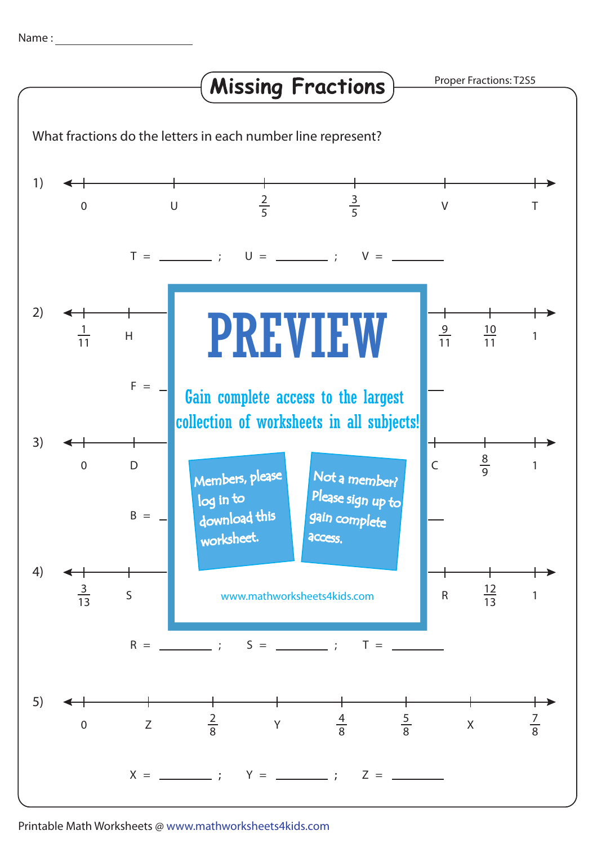